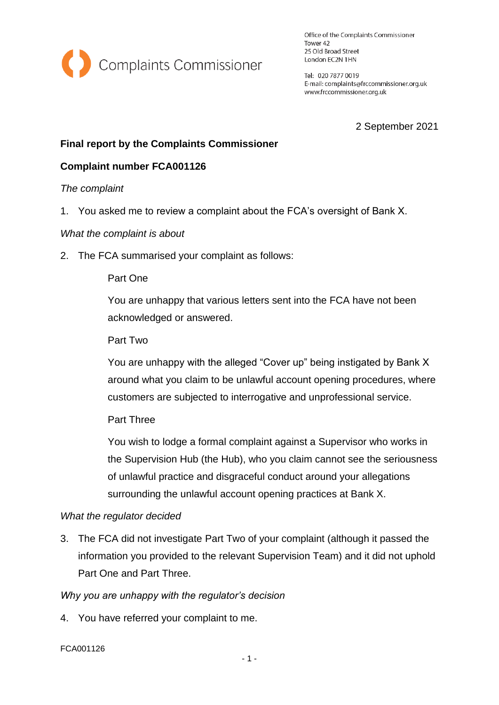

Office of the Complaints Commissioner Tower 42 25 Old Broad Street London EC2N 1HN

Tel: 020 7877 0019 E-mail: complaints@frccommissioner.org.uk www.frccommissioner.org.uk

2 September 2021

## **Final report by the Complaints Commissioner**

## **Complaint number FCA001126**

#### *The complaint*

1. You asked me to review a complaint about the FCA's oversight of Bank X.

#### *What the complaint is about*

2. The FCA summarised your complaint as follows:

#### Part One

You are unhappy that various letters sent into the FCA have not been acknowledged or answered.

Part Two

You are unhappy with the alleged "Cover up" being instigated by Bank X around what you claim to be unlawful account opening procedures, where customers are subjected to interrogative and unprofessional service.

# Part Three

You wish to lodge a formal complaint against a Supervisor who works in the Supervision Hub (the Hub), who you claim cannot see the seriousness of unlawful practice and disgraceful conduct around your allegations surrounding the unlawful account opening practices at Bank X.

# *What the regulator decided*

3. The FCA did not investigate Part Two of your complaint (although it passed the information you provided to the relevant Supervision Team) and it did not uphold Part One and Part Three.

# *Why you are unhappy with the regulator's decision*

4. You have referred your complaint to me.

#### FCA001126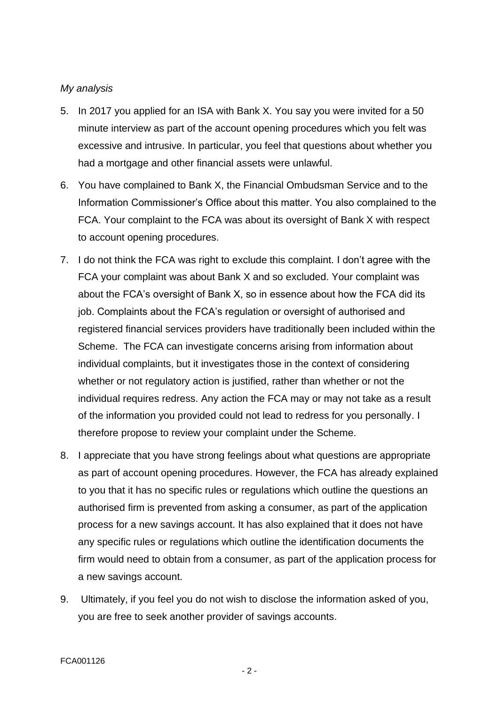#### *My analysis*

- 5. In 2017 you applied for an ISA with Bank X. You say you were invited for a 50 minute interview as part of the account opening procedures which you felt was excessive and intrusive. In particular, you feel that questions about whether you had a mortgage and other financial assets were unlawful.
- 6. You have complained to Bank X, the Financial Ombudsman Service and to the Information Commissioner's Office about this matter. You also complained to the FCA. Your complaint to the FCA was about its oversight of Bank X with respect to account opening procedures.
- 7. I do not think the FCA was right to exclude this complaint. I don't agree with the FCA your complaint was about Bank X and so excluded. Your complaint was about the FCA's oversight of Bank X, so in essence about how the FCA did its job. Complaints about the FCA's regulation or oversight of authorised and registered financial services providers have traditionally been included within the Scheme. The FCA can investigate concerns arising from information about individual complaints, but it investigates those in the context of considering whether or not regulatory action is justified, rather than whether or not the individual requires redress. Any action the FCA may or may not take as a result of the information you provided could not lead to redress for you personally. I therefore propose to review your complaint under the Scheme.
- 8. I appreciate that you have strong feelings about what questions are appropriate as part of account opening procedures. However, the FCA has already explained to you that it has no specific rules or regulations which outline the questions an authorised firm is prevented from asking a consumer, as part of the application process for a new savings account. It has also explained that it does not have any specific rules or regulations which outline the identification documents the firm would need to obtain from a consumer, as part of the application process for a new savings account.
- 9. Ultimately, if you feel you do not wish to disclose the information asked of you, you are free to seek another provider of savings accounts.